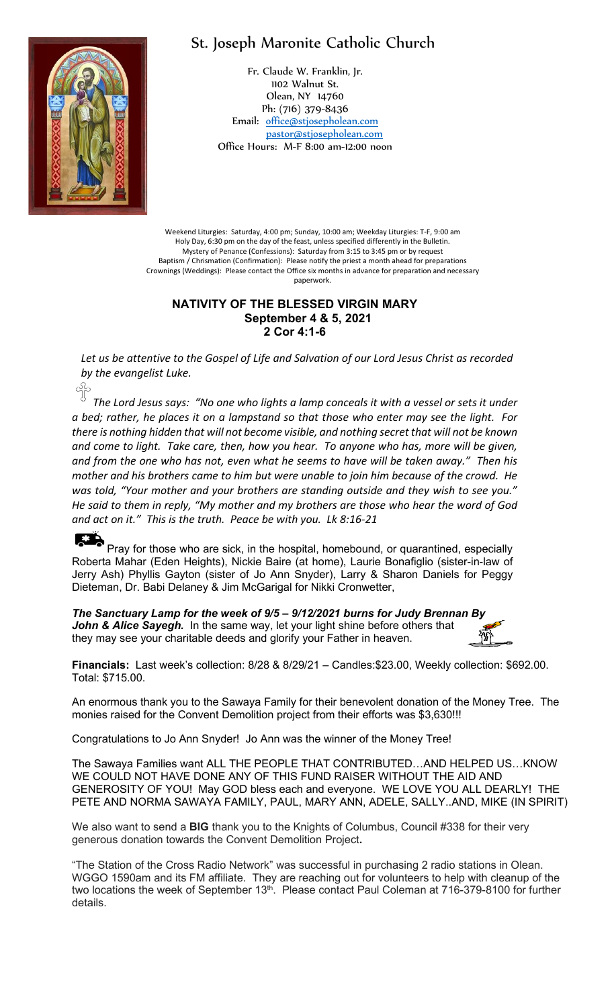## St. Joseph Maronite Catholic Church



Fr. Claude W. Franklin, Jr. 1102 Walnut St. Olean, NY 14760 Ph: (716) 379-8436 Email: [office@stjosepholean.com](mailto:office@stjosepholean.com) [pastor@stjosepholean.com](mailto:pastor@stjosepholean.com) Office Hours: M-F 8:00 am-12:00 noon

Weekend Liturgies: Saturday, 4:00 pm; Sunday, 10:00 am; Weekday Liturgies: T-F, 9:00 am Holy Day, 6:30 pm on the day of the feast, unless specified differently in the Bulletin. Mystery of Penance (Confessions): Saturday from 3:15 to 3:45 pm or by request Baptism / Chrismation (Confirmation): Please notify the priest a month ahead for preparations Crownings (Weddings): Please contact the Office six months in advance for preparation and necessary paperwork.

## **NATIVITY OF THE BLESSED VIRGIN MARY September 4 & 5, 2021 2 Cor 4:1-6**

*Let us be attentive to the Gospel of Life and Salvation of our Lord Jesus Christ as recorded by the evangelist Luke.*

 $\frac{d^2y}{d^2y}$ *The Lord Jesus says: "No one who lights a lamp conceals it with a vessel or sets it under a bed; rather, he places it on a lampstand so that those who enter may see the light. For there is nothing hidden that will not become visible, and nothing secret that will not be known and come to light. Take care, then, how you hear. To anyone who has, more will be given, and from the one who has not, even what he seems to have will be taken away." Then his mother and his brothers came to him but were unable to join him because of the crowd. He was told, "Your mother and your brothers are standing outside and they wish to see you." He said to them in reply, "My mother and my brothers are those who hear the word of God and act on it." This is the truth. Peace be with you. Lk 8:16-21*

Pray for those who are sick, in the hospital, homebound, or quarantined, especially Roberta Mahar (Eden Heights), Nickie Baire (at home), Laurie Bonafiglio (sister-in-law of Jerry Ash) Phyllis Gayton (sister of Jo Ann Snyder), Larry & Sharon Daniels for Peggy Dieteman, Dr. Babi Delaney & Jim McGarigal for Nikki Cronwetter,

*The Sanctuary Lamp for the week of 9/5 – 9/12/2021 burns for Judy Brennan By*  John & Alice Sayegh. In the same way, let your light shine before others that they may see your charitable deeds and glorify your Father in heaven.

**Financials:** Last week's collection: 8/28 & 8/29/21 – Candles:\$23.00, Weekly collection: \$692.00. Total: \$715.00.

An enormous thank you to the Sawaya Family for their benevolent donation of the Money Tree. The monies raised for the Convent Demolition project from their efforts was \$3,630!!!

Congratulations to Jo Ann Snyder! Jo Ann was the winner of the Money Tree!

The Sawaya Families want ALL THE PEOPLE THAT CONTRIBUTED…AND HELPED US…KNOW WE COULD NOT HAVE DONE ANY OF THIS FUND RAISER WITHOUT THE AID AND GENEROSITY OF YOU! May GOD bless each and everyone. WE LOVE YOU ALL DEARLY! THE PETE AND NORMA SAWAYA FAMILY, PAUL, MARY ANN, ADELE, SALLY..AND, MIKE (IN SPIRIT)

We also want to send a **BIG** thank you to the Knights of Columbus, Council #338 for their very generous donation towards the Convent Demolition Project**.** 

"The Station of the Cross Radio Network" was successful in purchasing 2 radio stations in Olean. WGGO 1590am and its FM affiliate. They are reaching out for volunteers to help with cleanup of the two locations the week of September 13<sup>th</sup>. Please contact Paul Coleman at 716-379-8100 for further details.